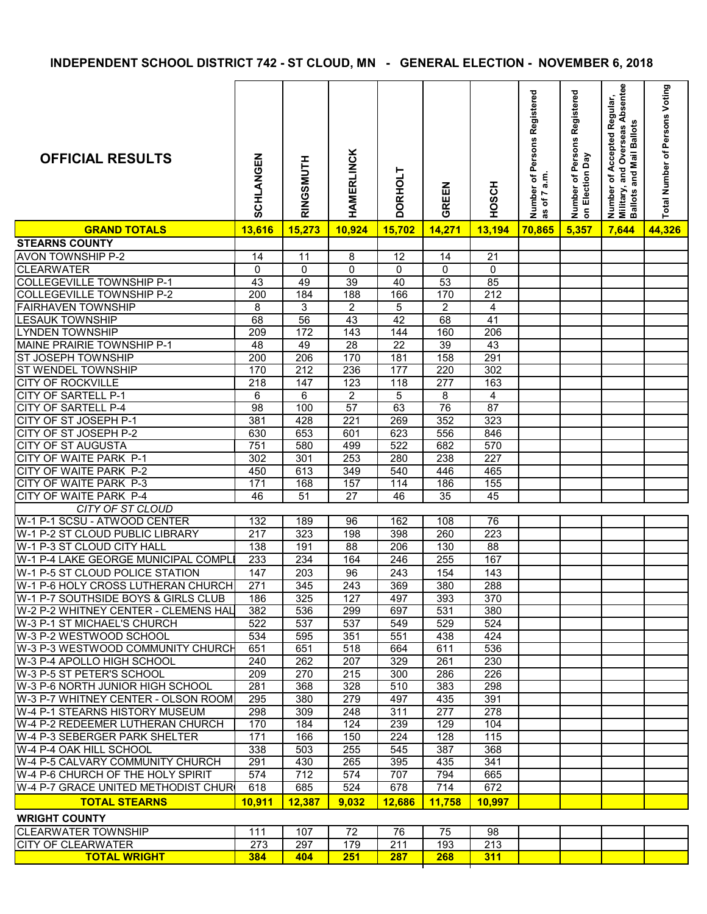**INDEPENDENT SCHOOL DISTRICT 742 - ST CLOUD, MN - GENERAL ELECTION - NOVEMBER 6, 2018**

| <b>OFFICIAL RESULTS</b>                          | <b>SCHLANGEN</b> | RINGSMUTH | <b>HAMERLINCK</b> | <b>DORHOLT</b> | GREEN       | <b>HOSCH</b> | Registered<br>Persons<br>a.m.<br>ð<br>Number<br>of 7<br>3g | Number of Persons Registered<br>on Election Day | and Overseas Absentee<br>of Accepted Regular,<br>and Mail Ballots<br>Number<br>Military, a<br>Ballots a | Total Number of Persons Voting |
|--------------------------------------------------|------------------|-----------|-------------------|----------------|-------------|--------------|------------------------------------------------------------|-------------------------------------------------|---------------------------------------------------------------------------------------------------------|--------------------------------|
| <b>GRAND TOTALS</b>                              | 13,616           | 15,273    | 10,924            | 15,702         | 14,271      | 13,194       | 70,865                                                     | 5,357                                           | 7,644                                                                                                   | 44,326                         |
| <b>STEARNS COUNTY</b>                            |                  |           |                   |                |             |              |                                                            |                                                 |                                                                                                         |                                |
| <b>AVON TOWNSHIP P-2</b>                         | 14               | 11        | 8                 | 12             | 14          | 21           |                                                            |                                                 |                                                                                                         |                                |
| <b>CLEARWATER</b>                                | $\mathbf 0$      | 0         | $\mathbf 0$       | $\mathbf 0$    | $\mathbf 0$ | $\mathbf 0$  |                                                            |                                                 |                                                                                                         |                                |
| <b>COLLEGEVILLE TOWNSHIP P-1</b>                 | 43               | 49        | 39                | 40             | 53          | 85           |                                                            |                                                 |                                                                                                         |                                |
| <b>COLLEGEVILLE TOWNSHIP P-2</b>                 | 200              | 184       | 188               | 166            | 170         | 212          |                                                            |                                                 |                                                                                                         |                                |
| <b>FAIRHAVEN TOWNSHIP</b>                        | 8                | 3         | $\overline{2}$    | 5              | 2           | 4            |                                                            |                                                 |                                                                                                         |                                |
| <b>LESAUK TOWNSHIP</b><br><b>LYNDEN TOWNSHIP</b> | 68               | 56<br>172 | 43<br>143         | 42<br>144      | 68<br>160   | 41<br>206    |                                                            |                                                 |                                                                                                         |                                |
| MAINE PRAIRIE TOWNSHIP P-1                       | 209<br>48        | 49        | 28                | 22             | 39          | 43           |                                                            |                                                 |                                                                                                         |                                |
| IST JOSEPH TOWNSHIP                              | 200              | 206       | 170               | 181            | 158         | 291          |                                                            |                                                 |                                                                                                         |                                |
| <b>ST WENDEL TOWNSHIP</b>                        | 170              | 212       | 236               | 177            | 220         | 302          |                                                            |                                                 |                                                                                                         |                                |
| <b>CITY OF ROCKVILLE</b>                         | 218              | 147       | 123               | 118            | 277         | 163          |                                                            |                                                 |                                                                                                         |                                |
| <b>CITY OF SARTELL P-1</b>                       | 6                | 6         | $\overline{2}$    | 5              | 8           | 4            |                                                            |                                                 |                                                                                                         |                                |
| <b>CITY OF SARTELL P-4</b>                       | 98               | 100       | 57                | 63             | 76          | 87           |                                                            |                                                 |                                                                                                         |                                |
| <b>CITY OF ST JOSEPH P-1</b>                     | 381              | 428       | 221               | 269            | 352         | 323          |                                                            |                                                 |                                                                                                         |                                |
| <b>CITY OF ST JOSEPH P-2</b>                     | 630              | 653       | 601               | 623            | 556         | 846          |                                                            |                                                 |                                                                                                         |                                |
| <b>CITY OF ST AUGUSTA</b>                        | 751              | 580       | 499               | 522            | 682         | 570          |                                                            |                                                 |                                                                                                         |                                |
| CITY OF WAITE PARK P-1                           | 302              | 301       | 253               | 280            | 238         | 227          |                                                            |                                                 |                                                                                                         |                                |
| CITY OF WAITE PARK P-2                           | 450              | 613       | 349               | 540            | 446         | 465          |                                                            |                                                 |                                                                                                         |                                |
| <b>CITY OF WAITE PARK P-3</b>                    | 171              | 168       | 157               | 114            | 186         | 155          |                                                            |                                                 |                                                                                                         |                                |
| <b>ICITY OF WAITE PARK P-4</b>                   | 46               | 51        | 27                | 46             | 35          | 45           |                                                            |                                                 |                                                                                                         |                                |
| CITY OF ST CLOUD                                 |                  |           |                   |                |             |              |                                                            |                                                 |                                                                                                         |                                |
| lW-1 P-1 SCSU - ATWOOD CENTER                    | 132              | 189       | 96                | 162            | 108         | 76           |                                                            |                                                 |                                                                                                         |                                |
| lW-1 P-2 ST CLOUD PUBLIC LIBRARY                 | 217              | 323       | 198               | 398            | 260         | 223          |                                                            |                                                 |                                                                                                         |                                |
| W-1 P-3 ST CLOUD CITY HALL                       | 138              | 191       | 88                | 206            | 130         | 88           |                                                            |                                                 |                                                                                                         |                                |
| IW-1 P-4 LAKE GEORGE MUNICIPAL COMPLI            | 233              | 234       | 164               | 246            | 255         | 167          |                                                            |                                                 |                                                                                                         |                                |
| lW-1 P-5 ST CLOUD POLICE STATION                 | 147              | 203       | 96                | 243            | 154         | 143          |                                                            |                                                 |                                                                                                         |                                |
| lW-1 P-6 HOLY CROSS LUTHERAN CHURCH              | 271              | 345       | 243               | 369            | 380         | 288          |                                                            |                                                 |                                                                                                         |                                |
| lW-1 P-7 SOUTHSIDE BOYS & GIRLS CLUB             | 186              | 325       | 127               | 497            | 393         | 370          |                                                            |                                                 |                                                                                                         |                                |
| lW-2 P-2 WHITNEY CENTER - CLEMENS HAL            | 382              | 536       | 299               | 697            | 531         | 380          |                                                            |                                                 |                                                                                                         |                                |
| <b>IW-3 P-1 ST MICHAEL'S CHURCH</b>              | 522              | 537       | 537               | 549            | 529         | 524          |                                                            |                                                 |                                                                                                         |                                |
| lW-3 P-2 WESTWOOD SCHOOL                         | 534              | 595       | 351               | 551            | 438         | 424          |                                                            |                                                 |                                                                                                         |                                |
| IW-3 P-3 WESTWOOD COMMUNITY CHURCH               | 651              | 651       | 518               | 664            | 611         | 536          |                                                            |                                                 |                                                                                                         |                                |
| lW-3 P-4 APOLLO HIGH SCHOOL                      | 240              | 262       | 207               | 329            | 261         | 230          |                                                            |                                                 |                                                                                                         |                                |
| lW-3 P-5 ST PETER'S SCHOOL                       | 209              | 270       | 215               | 300            | 286         | 226          |                                                            |                                                 |                                                                                                         |                                |
| lW-3 P-6 NORTH JUNIOR HIGH SCHOOL                | 281              | 368       | 328               | 510            | 383         | 298          |                                                            |                                                 |                                                                                                         |                                |
| lW-3 P-7 WHITNEY CENTER - OLSON ROOM             | 295              | 380       | 279               | 497            | 435         | 391          |                                                            |                                                 |                                                                                                         |                                |
| W-4 P-1 STEARNS HISTORY MUSEUM                   | 298              | 309       | 248               | 311            | 277         | 278          |                                                            |                                                 |                                                                                                         |                                |
| lW-4 P-2 REDEEMER LUTHERAN CHURCH                | 170              | 184       | 124               | 239            | 129         | 104          |                                                            |                                                 |                                                                                                         |                                |
| lW-4 P-3 SEBERGER PARK SHELTER                   | 171              | 166       | 150               | 224            | 128         | 115          |                                                            |                                                 |                                                                                                         |                                |
| lW-4 P-4 OAK HILL SCHOOL                         | 338              | 503       | 255               | 545            | 387         | 368          |                                                            |                                                 |                                                                                                         |                                |
| W-4 P-5 CALVARY COMMUNITY CHURCH                 | 291              | 430       | 265               | 395            | 435         | 341          |                                                            |                                                 |                                                                                                         |                                |
| W-4 P-6 CHURCH OF THE HOLY SPIRIT                | 574              | 712       | 574               | 707            | 794         | 665          |                                                            |                                                 |                                                                                                         |                                |
| IW-4 P-7 GRACE UNITED METHODIST CHURI            | 618              | 685       | 524               | 678            | 714         | 672          |                                                            |                                                 |                                                                                                         |                                |
| <b>TOTAL STEARNS</b>                             | <b>10,911</b>    | 12,387    | 9,032             | 12,686         | 11,758      | 10,997       |                                                            |                                                 |                                                                                                         |                                |
| <b>WRIGHT COUNTY</b>                             |                  |           |                   |                |             |              |                                                            |                                                 |                                                                                                         |                                |
| <b>CLEARWATER TOWNSHIP</b>                       | 111              | 107       | 72                | 76             | 75          | 98           |                                                            |                                                 |                                                                                                         |                                |
| <b>CITY OF CLEARWATER</b>                        | 273              | 297       | 179               | 211            | 193         | 213          |                                                            |                                                 |                                                                                                         |                                |
| <b>TOTAL WRIGHT</b>                              | 384              |           | 404 251           | 287            | 268         | 311          |                                                            |                                                 |                                                                                                         |                                |